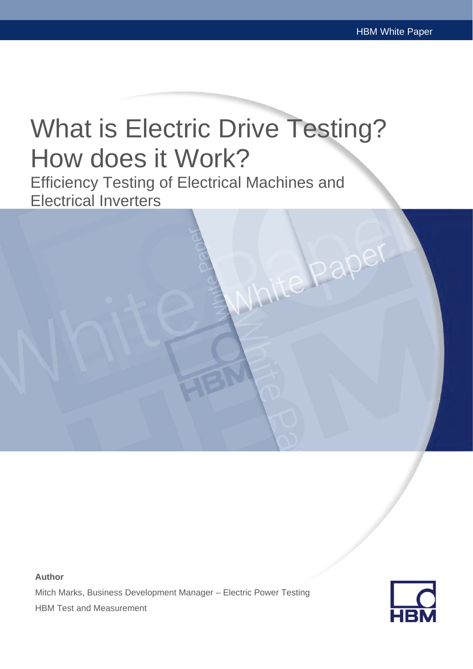# What is Electric Drive Testing? How does it Work?

Efficiency Testing of Electrical Machines and Electrical Inverters

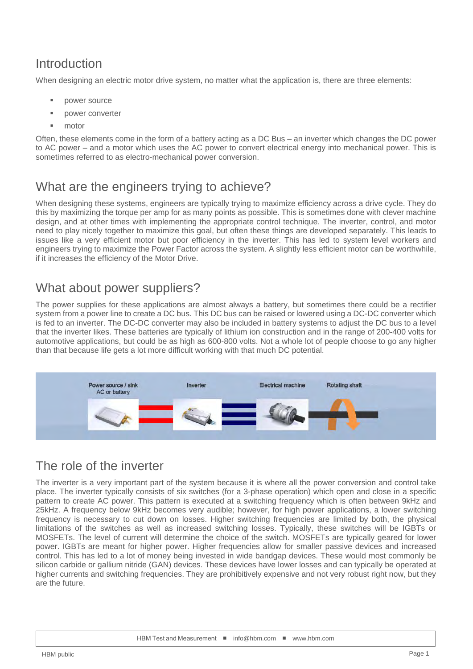# Introduction

When designing an electric motor drive system, no matter what the application is, there are three elements:

- power source
- power converter
- motor

Often, these elements come in the form of a battery acting as a DC Bus – an inverter which changes the DC power to AC power – and a motor which uses the AC power to convert electrical energy into mechanical power. This is sometimes referred to as electro-mechanical power conversion.

## What are the engineers trying to achieve?

When designing these systems, engineers are typically trying to maximize efficiency across a drive cycle. They do this by maximizing the torque per amp for as many points as possible. This is sometimes done with clever machine design, and at other times with implementing the appropriate control technique. The inverter, control, and motor need to play nicely together to maximize this goal, but often these things are developed separately. This leads to issues like a very efficient motor but poor efficiency in the inverter. This has led to system level workers and engineers trying to maximize the Power Factor across the system. A slightly less efficient motor can be worthwhile, if it increases the efficiency of the Motor Drive.

## What about power suppliers?

The power supplies for these applications are almost always a battery, but sometimes there could be a rectifier system from a power line to create a DC bus. This DC bus can be raised or lowered using a DC-DC converter which is fed to an inverter. The DC-DC converter may also be included in battery systems to adjust the DC bus to a level that the inverter likes. These batteries are typically of lithium ion construction and in the range of 200-400 volts for automotive applications, but could be as high as 600-800 volts. Not a whole lot of people choose to go any higher than that because life gets a lot more difficult working with that much DC potential.



#### The role of the inverter

The inverter is a very important part of the system because it is where all the power conversion and control take place. The inverter typically consists of six switches (for a 3-phase operation) which open and close in a specific pattern to create AC power. This pattern is executed at a switching frequency which is often between 9kHz and 25kHz. A frequency below 9kHz becomes very audible; however, for high power applications, a lower switching frequency is necessary to cut down on losses. Higher switching frequencies are limited by both, the physical limitations of the switches as well as increased switching losses. Typically, these switches will be IGBTs or MOSFETs. The level of current will determine the choice of the switch. MOSFETs are typically geared for lower power. IGBTs are meant for higher power. Higher frequencies allow for smaller passive devices and increased control. This has led to a lot of money being invested in wide bandgap devices. These would most commonly be silicon carbide or gallium nitride (GAN) devices. These devices have lower losses and can typically be operated at higher currents and switching frequencies. They are prohibitively expensive and not very robust right now, but they are the future.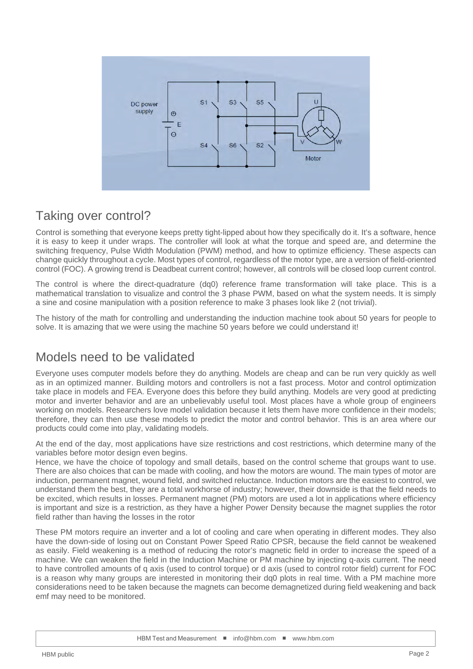

#### Taking over control?

Control is something that everyone keeps pretty tight-lipped about how they specifically do it. It's a software, hence it is easy to keep it under wraps. The controller will look at what the torque and speed are, and determine the switching frequency, Pulse Width Modulation (PWM) method, and how to optimize efficiency. These aspects can change quickly throughout a cycle. Most types of control, regardless of the motor type, are a version of field-oriented control (FOC). A growing trend is Deadbeat current control; however, all controls will be closed loop current control.

The control is where the direct-quadrature (dq0) reference frame transformation will take place. This is a mathematical translation to visualize and control the 3 phase PWM, based on what the system needs. It is simply a sine and cosine manipulation with a position reference to make 3 phases look like 2 (not trivial).

The history of the math for controlling and understanding the induction machine took about 50 years for people to solve. It is amazing that we were using the machine 50 years before we could understand it!

# Models need to be validated

Everyone uses computer models before they do anything. Models are cheap and can be run very quickly as well as in an optimized manner. Building motors and controllers is not a fast process. Motor and control optimization take place in models and FEA. Everyone does this before they build anything. Models are very good at predicting motor and inverter behavior and are an unbelievably useful tool. Most places have a whole group of engineers working on models. Researchers love model validation because it lets them have more confidence in their models; therefore, they can then use these models to predict the motor and control behavior. This is an area where our products could come into play, validating models.

At the end of the day, most applications have size restrictions and cost restrictions, which determine many of the variables before motor design even begins.

Hence, we have the choice of topology and small details, based on the control scheme that groups want to use. There are also choices that can be made with cooling, and how the motors are wound. The main types of motor are induction, permanent magnet, wound field, and switched reluctance. Induction motors are the easiest to control, we understand them the best, they are a total workhorse of industry; however, their downside is that the field needs to be excited, which results in losses. Permanent magnet (PM) motors are used a lot in applications where efficiency is important and size is a restriction, as they have a higher Power Density because the magnet supplies the rotor field rather than having the losses in the rotor

These PM motors require an inverter and a lot of cooling and care when operating in different modes. They also have the down-side of losing out on Constant Power Speed Ratio CPSR, because the field cannot be weakened as easily. Field weakening is a method of reducing the rotor's magnetic field in order to increase the speed of a machine. We can weaken the field in the Induction Machine or PM machine by injecting q-axis current. The need to have controlled amounts of q axis (used to control torque) or d axis (used to control rotor field) current for FOC is a reason why many groups are interested in monitoring their dq0 plots in real time. With a PM machine more considerations need to be taken because the magnets can become demagnetized during field weakening and back emf may need to be monitored.